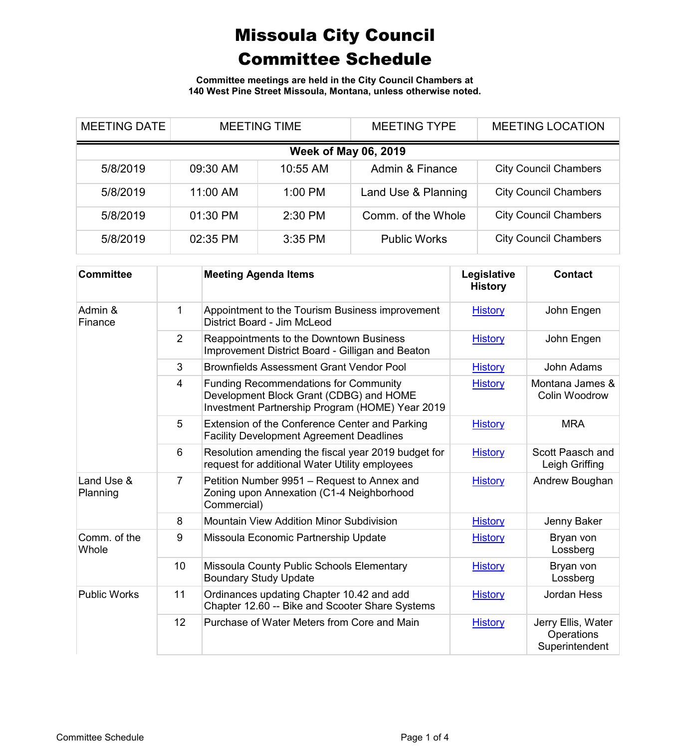**Committee meetings are held in the City Council Chambers at 140 West Pine Street Missoula, Montana, unless otherwise noted.**

| <b>MEETING DATE</b>         |          | <b>MEETING TIME</b> | <b>MEETING TYPE</b> | <b>MEETING LOCATION</b>      |  |  |
|-----------------------------|----------|---------------------|---------------------|------------------------------|--|--|
| <b>Week of May 06, 2019</b> |          |                     |                     |                              |  |  |
| 5/8/2019                    | 09:30 AM | 10:55 AM            | Admin & Finance     | <b>City Council Chambers</b> |  |  |
| 5/8/2019                    | 11:00 AM | 1:00 PM             | Land Use & Planning | <b>City Council Chambers</b> |  |  |
| 5/8/2019                    | 01:30 PM | 2:30 PM             | Comm. of the Whole  | <b>City Council Chambers</b> |  |  |
| 5/8/2019                    | 02:35 PM | $3:35$ PM           | <b>Public Works</b> | <b>City Council Chambers</b> |  |  |

| <b>Committee</b>       |                 | <b>Meeting Agenda Items</b>                                                                                                                | Legislative<br><b>History</b> | <b>Contact</b>                                     |
|------------------------|-----------------|--------------------------------------------------------------------------------------------------------------------------------------------|-------------------------------|----------------------------------------------------|
| Admin &<br>Finance     | 1               | Appointment to the Tourism Business improvement<br>District Board - Jim McLeod                                                             | <b>History</b>                | John Engen                                         |
|                        | $\overline{2}$  | Reappointments to the Downtown Business<br>Improvement District Board - Gilligan and Beaton                                                | <b>History</b>                | John Engen                                         |
|                        | 3               | <b>Brownfields Assessment Grant Vendor Pool</b>                                                                                            | <b>History</b>                | John Adams                                         |
|                        | 4               | <b>Funding Recommendations for Community</b><br>Development Block Grant (CDBG) and HOME<br>Investment Partnership Program (HOME) Year 2019 | <b>History</b>                | Montana James &<br>Colin Woodrow                   |
|                        | 5               | Extension of the Conference Center and Parking<br><b>Facility Development Agreement Deadlines</b>                                          | <b>History</b>                | <b>MRA</b>                                         |
|                        | $6\phantom{1}6$ | Resolution amending the fiscal year 2019 budget for<br>request for additional Water Utility employees                                      | <b>History</b>                | Scott Paasch and<br>Leigh Griffing                 |
| Land Use &<br>Planning | 7               | Petition Number 9951 – Request to Annex and<br>Zoning upon Annexation (C1-4 Neighborhood<br>Commercial)                                    | <b>History</b>                | Andrew Boughan                                     |
|                        | 8               | <b>Mountain View Addition Minor Subdivision</b>                                                                                            | <b>History</b>                | Jenny Baker                                        |
| Comm. of the<br>Whole  | 9               | Missoula Economic Partnership Update                                                                                                       | <b>History</b>                | Bryan von<br>Lossberg                              |
|                        | 10              | Missoula County Public Schools Elementary<br><b>Boundary Study Update</b>                                                                  | <b>History</b>                | Bryan von<br>Lossberg                              |
| <b>Public Works</b>    | 11              | Ordinances updating Chapter 10.42 and add<br>Chapter 12.60 -- Bike and Scooter Share Systems                                               | <b>History</b>                | <b>Jordan Hess</b>                                 |
|                        | 12              | Purchase of Water Meters from Core and Main                                                                                                | <b>History</b>                | Jerry Ellis, Water<br>Operations<br>Superintendent |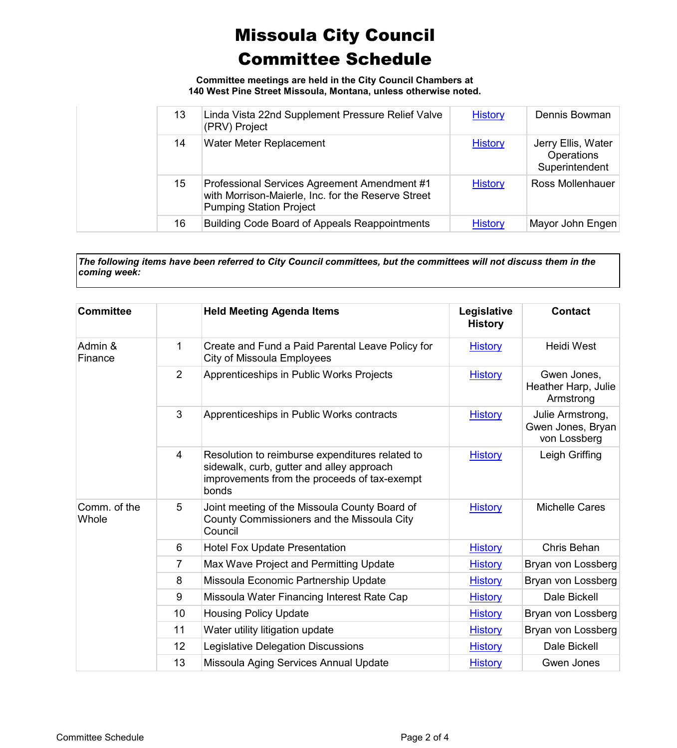**Committee meetings are held in the City Council Chambers at 140 West Pine Street Missoula, Montana, unless otherwise noted.**

| 13 | Linda Vista 22nd Supplement Pressure Relief Valve<br>(PRV) Project                                                                   | <b>History</b> | Dennis Bowman                                             |
|----|--------------------------------------------------------------------------------------------------------------------------------------|----------------|-----------------------------------------------------------|
| 14 | Water Meter Replacement                                                                                                              | <b>History</b> | Jerry Ellis, Water<br><b>Operations</b><br>Superintendent |
| 15 | Professional Services Agreement Amendment #1<br>with Morrison-Maierle, Inc. for the Reserve Street<br><b>Pumping Station Project</b> | <b>History</b> | Ross Mollenhauer                                          |
| 16 | <b>Building Code Board of Appeals Reappointments</b>                                                                                 | <b>History</b> | Mayor John Engen                                          |

*The following items have been referred to City Council committees, but the committees will not discuss them in the coming week:*

| <b>Committee</b>      |                | <b>Held Meeting Agenda Items</b>                                                                                                                      | Legislative<br><b>History</b> | <b>Contact</b>                                        |
|-----------------------|----------------|-------------------------------------------------------------------------------------------------------------------------------------------------------|-------------------------------|-------------------------------------------------------|
| Admin &<br>Finance    | 1              | Create and Fund a Paid Parental Leave Policy for<br>City of Missoula Employees                                                                        | <b>History</b>                | <b>Heidi West</b>                                     |
|                       | $\overline{2}$ | Apprenticeships in Public Works Projects                                                                                                              | <b>History</b>                | Gwen Jones,<br>Heather Harp, Julie<br>Armstrong       |
|                       | 3              | Apprenticeships in Public Works contracts                                                                                                             | <b>History</b>                | Julie Armstrong,<br>Gwen Jones, Bryan<br>von Lossberg |
|                       | 4              | Resolution to reimburse expenditures related to<br>sidewalk, curb, gutter and alley approach<br>improvements from the proceeds of tax-exempt<br>bonds | <b>History</b>                | Leigh Griffing                                        |
| Comm. of the<br>Whole | 5              | Joint meeting of the Missoula County Board of<br>County Commissioners and the Missoula City<br>Council                                                | <b>History</b>                | <b>Michelle Cares</b>                                 |
|                       | 6              | <b>Hotel Fox Update Presentation</b>                                                                                                                  | <b>History</b>                | Chris Behan                                           |
|                       | 7              | Max Wave Project and Permitting Update                                                                                                                | <b>History</b>                | Bryan von Lossberg                                    |
|                       | 8              | Missoula Economic Partnership Update                                                                                                                  | <b>History</b>                | Bryan von Lossberg                                    |
|                       | 9              | Missoula Water Financing Interest Rate Cap                                                                                                            | <b>History</b>                | Dale Bickell                                          |
|                       | 10             | <b>Housing Policy Update</b>                                                                                                                          | <b>History</b>                | Bryan von Lossberg                                    |
|                       | 11             | Water utility litigation update                                                                                                                       | <b>History</b>                | Bryan von Lossberg                                    |
|                       | 12             | Legislative Delegation Discussions                                                                                                                    | <b>History</b>                | Dale Bickell                                          |
|                       | 13             | Missoula Aging Services Annual Update                                                                                                                 | <b>History</b>                | Gwen Jones                                            |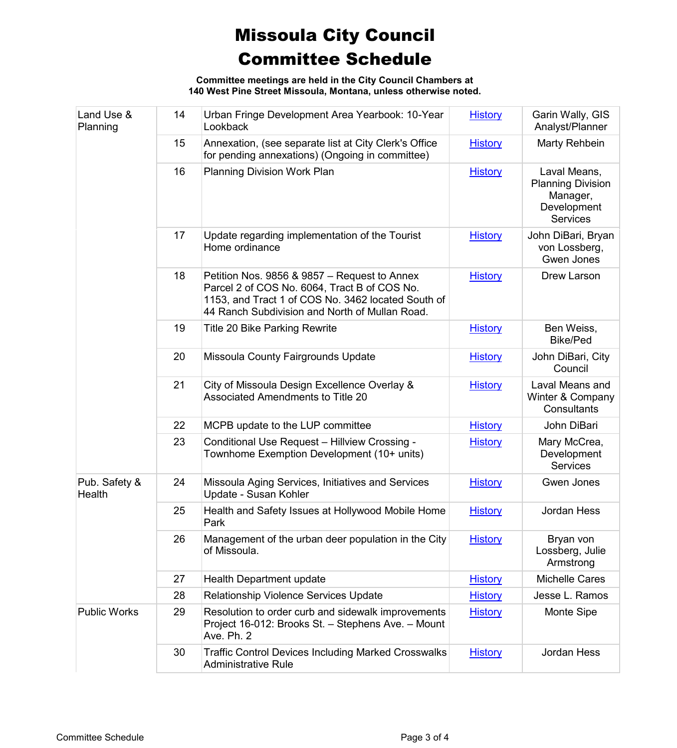**Committee meetings are held in the City Council Chambers at 140 West Pine Street Missoula, Montana, unless otherwise noted.**

| Land Use &<br>Planning  | 14 | Urban Fringe Development Area Yearbook: 10-Year<br>Lookback                                                                                                                                          | <b>History</b> | Garin Wally, GIS<br>Analyst/Planner                                                    |
|-------------------------|----|------------------------------------------------------------------------------------------------------------------------------------------------------------------------------------------------------|----------------|----------------------------------------------------------------------------------------|
|                         | 15 | Annexation, (see separate list at City Clerk's Office<br>for pending annexations) (Ongoing in committee)                                                                                             | <b>History</b> | Marty Rehbein                                                                          |
|                         | 16 | <b>Planning Division Work Plan</b>                                                                                                                                                                   | <b>History</b> | Laval Means,<br><b>Planning Division</b><br>Manager,<br>Development<br><b>Services</b> |
|                         | 17 | Update regarding implementation of the Tourist<br>Home ordinance                                                                                                                                     | <b>History</b> | John DiBari, Bryan<br>von Lossberg,<br>Gwen Jones                                      |
|                         | 18 | Petition Nos. 9856 & 9857 - Request to Annex<br>Parcel 2 of COS No. 6064, Tract B of COS No.<br>1153, and Tract 1 of COS No. 3462 located South of<br>44 Ranch Subdivision and North of Mullan Road. | <b>History</b> | Drew Larson                                                                            |
|                         | 19 | <b>Title 20 Bike Parking Rewrite</b>                                                                                                                                                                 | <b>History</b> | Ben Weiss,<br><b>Bike/Ped</b>                                                          |
|                         | 20 | Missoula County Fairgrounds Update                                                                                                                                                                   | <b>History</b> | John DiBari, City<br>Council                                                           |
|                         | 21 | City of Missoula Design Excellence Overlay &<br><b>Associated Amendments to Title 20</b>                                                                                                             | <b>History</b> | Laval Means and<br>Winter & Company<br>Consultants                                     |
|                         | 22 | MCPB update to the LUP committee                                                                                                                                                                     | <b>History</b> | John DiBari                                                                            |
|                         | 23 | Conditional Use Request - Hillview Crossing -<br>Townhome Exemption Development (10+ units)                                                                                                          | <b>History</b> | Mary McCrea,<br>Development<br><b>Services</b>                                         |
| Pub. Safety &<br>Health | 24 | Missoula Aging Services, Initiatives and Services<br>Update - Susan Kohler                                                                                                                           | <b>History</b> | Gwen Jones                                                                             |
|                         | 25 | Health and Safety Issues at Hollywood Mobile Home<br>Park                                                                                                                                            | <b>History</b> | Jordan Hess                                                                            |
|                         | 26 | Management of the urban deer population in the City<br>of Missoula.                                                                                                                                  | <b>History</b> | Bryan von<br>Lossberg, Julie<br>Armstrong                                              |
|                         | 27 | <b>Health Department update</b>                                                                                                                                                                      | <b>History</b> | <b>Michelle Cares</b>                                                                  |
|                         | 28 | Relationship Violence Services Update                                                                                                                                                                | <b>History</b> | Jesse L. Ramos                                                                         |
| <b>Public Works</b>     | 29 | Resolution to order curb and sidewalk improvements<br>Project 16-012: Brooks St. - Stephens Ave. - Mount<br>Ave. Ph. 2                                                                               | <b>History</b> | <b>Monte Sipe</b>                                                                      |
|                         | 30 | <b>Traffic Control Devices Including Marked Crosswalks</b><br><b>Administrative Rule</b>                                                                                                             | <b>History</b> | Jordan Hess                                                                            |